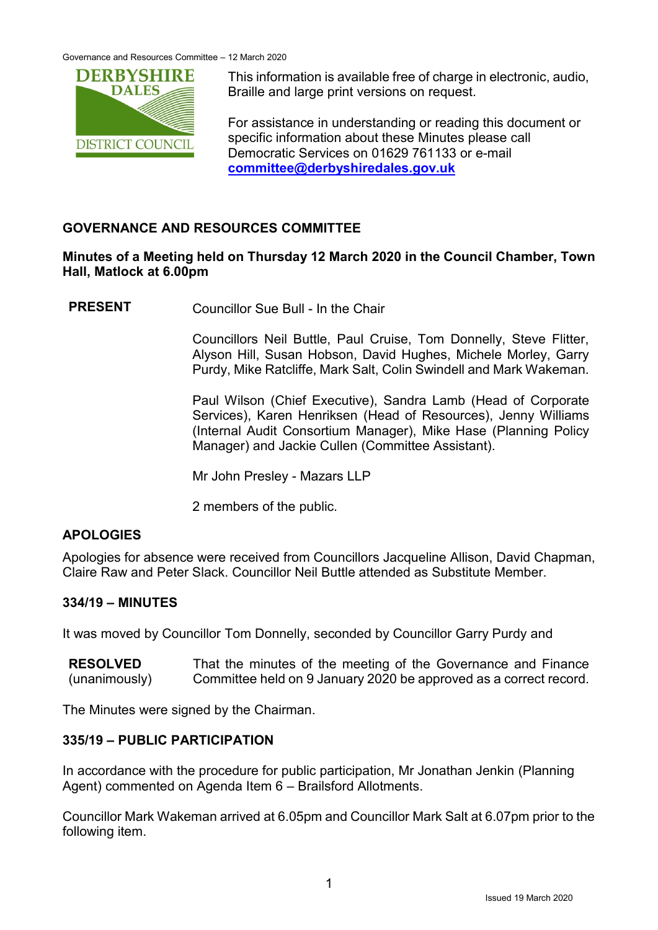Governance and Resources Committee – 12 March 2020



This information is available free of charge in electronic, audio, Braille and large print versions on request.

For assistance in understanding or reading this document or specific information about these Minutes please call Democratic Services on 01629 761133 or e-mail **[committee@derbyshiredales.gov.uk](mailto:committee@derbyshiredales.gov.uk)**

# **GOVERNANCE AND RESOURCES COMMITTEE**

## **Minutes of a Meeting held on Thursday 12 March 2020 in the Council Chamber, Town Hall, Matlock at 6.00pm**

**PRESENT** Councillor Sue Bull - In the Chair

Councillors Neil Buttle, Paul Cruise, Tom Donnelly, Steve Flitter, Alyson Hill, Susan Hobson, David Hughes, Michele Morley, Garry Purdy, Mike Ratcliffe, Mark Salt, Colin Swindell and Mark Wakeman.

Paul Wilson (Chief Executive), Sandra Lamb (Head of Corporate Services), Karen Henriksen (Head of Resources), Jenny Williams (Internal Audit Consortium Manager), Mike Hase (Planning Policy Manager) and Jackie Cullen (Committee Assistant).

Mr John Presley - Mazars LLP

2 members of the public.

# **APOLOGIES**

Apologies for absence were received from Councillors Jacqueline Allison, David Chapman, Claire Raw and Peter Slack. Councillor Neil Buttle attended as Substitute Member.

## **334/19 – MINUTES**

It was moved by Councillor Tom Donnelly, seconded by Councillor Garry Purdy and

**RESOLVED** (unanimously) That the minutes of the meeting of the Governance and Finance Committee held on 9 January 2020 be approved as a correct record.

The Minutes were signed by the Chairman.

## **335/19 – PUBLIC PARTICIPATION**

In accordance with the procedure for public participation, Mr Jonathan Jenkin (Planning Agent) commented on Agenda Item 6 – Brailsford Allotments.

Councillor Mark Wakeman arrived at 6.05pm and Councillor Mark Salt at 6.07pm prior to the following item.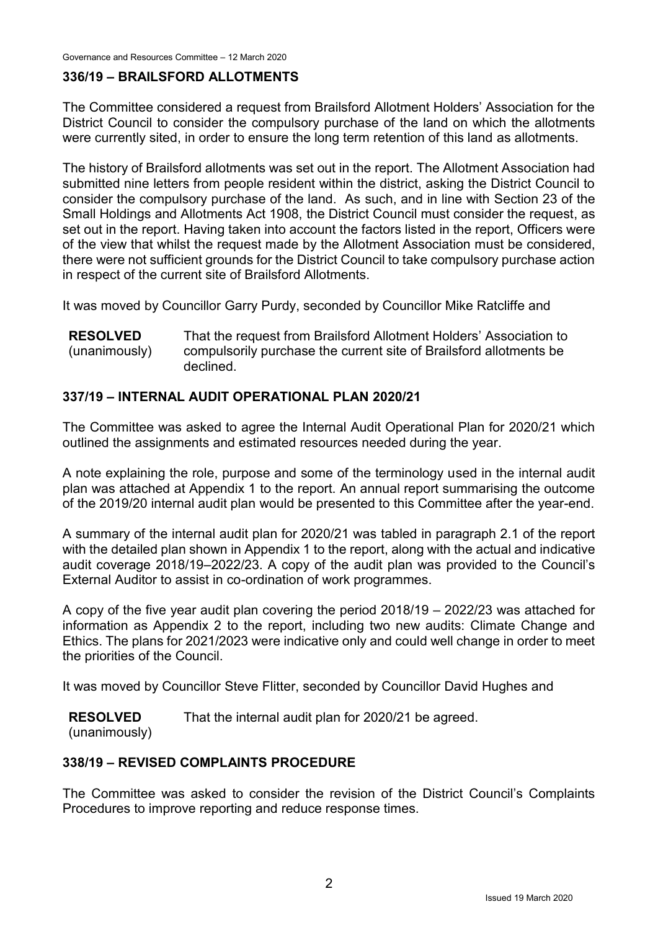Governance and Resources Committee – 12 March 2020

## **336/19 – BRAILSFORD ALLOTMENTS**

The Committee considered a request from Brailsford Allotment Holders' Association for the District Council to consider the compulsory purchase of the land on which the allotments were currently sited, in order to ensure the long term retention of this land as allotments.

The history of Brailsford allotments was set out in the report. The Allotment Association had submitted nine letters from people resident within the district, asking the District Council to consider the compulsory purchase of the land. As such, and in line with Section 23 of the Small Holdings and Allotments Act 1908, the District Council must consider the request, as set out in the report. Having taken into account the factors listed in the report, Officers were of the view that whilst the request made by the Allotment Association must be considered, there were not sufficient grounds for the District Council to take compulsory purchase action in respect of the current site of Brailsford Allotments.

It was moved by Councillor Garry Purdy, seconded by Councillor Mike Ratcliffe and

**RESOLVED** (unanimously) That the request from Brailsford Allotment Holders' Association to compulsorily purchase the current site of Brailsford allotments be declined.

## **337/19 – INTERNAL AUDIT OPERATIONAL PLAN 2020/21**

The Committee was asked to agree the Internal Audit Operational Plan for 2020/21 which outlined the assignments and estimated resources needed during the year.

A note explaining the role, purpose and some of the terminology used in the internal audit plan was attached at Appendix 1 to the report. An annual report summarising the outcome of the 2019/20 internal audit plan would be presented to this Committee after the year-end.

A summary of the internal audit plan for 2020/21 was tabled in paragraph 2.1 of the report with the detailed plan shown in Appendix 1 to the report, along with the actual and indicative audit coverage 2018/19–2022/23. A copy of the audit plan was provided to the Council's External Auditor to assist in co-ordination of work programmes.

A copy of the five year audit plan covering the period 2018/19 – 2022/23 was attached for information as Appendix 2 to the report, including two new audits: Climate Change and Ethics. The plans for 2021/2023 were indicative only and could well change in order to meet the priorities of the Council.

It was moved by Councillor Steve Flitter, seconded by Councillor David Hughes and

**RESOLVED** That the internal audit plan for 2020/21 be agreed.

(unanimously)

## **338/19 – REVISED COMPLAINTS PROCEDURE**

The Committee was asked to consider the revision of the District Council's Complaints Procedures to improve reporting and reduce response times.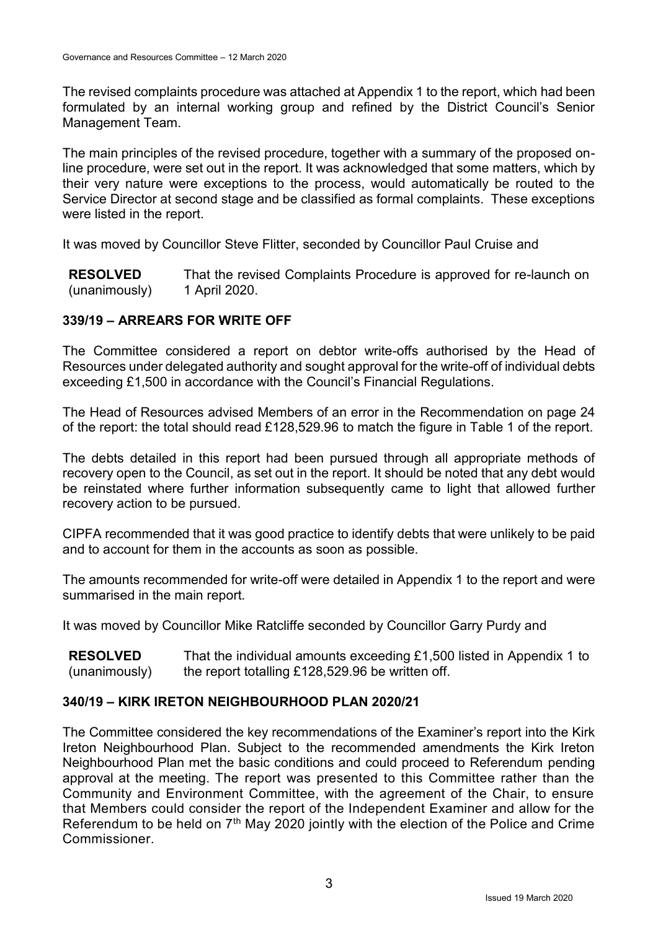The revised complaints procedure was attached at Appendix 1 to the report, which had been formulated by an internal working group and refined by the District Council's Senior Management Team.

The main principles of the revised procedure, together with a summary of the proposed online procedure, were set out in the report. It was acknowledged that some matters, which by their very nature were exceptions to the process, would automatically be routed to the Service Director at second stage and be classified as formal complaints. These exceptions were listed in the report.

It was moved by Councillor Steve Flitter, seconded by Councillor Paul Cruise and

**RESOLVED** (unanimously) That the revised Complaints Procedure is approved for re-launch on 1 April 2020.

## **339/19 – ARREARS FOR WRITE OFF**

The Committee considered a report on debtor write-offs authorised by the Head of Resources under delegated authority and sought approval for the write-off of individual debts exceeding £1,500 in accordance with the Council's Financial Regulations.

The Head of Resources advised Members of an error in the Recommendation on page 24 of the report: the total should read £128,529.96 to match the figure in Table 1 of the report.

The debts detailed in this report had been pursued through all appropriate methods of recovery open to the Council, as set out in the report. It should be noted that any debt would be reinstated where further information subsequently came to light that allowed further recovery action to be pursued.

CIPFA recommended that it was good practice to identify debts that were unlikely to be paid and to account for them in the accounts as soon as possible.

The amounts recommended for write-off were detailed in Appendix 1 to the report and were summarised in the main report.

It was moved by Councillor Mike Ratcliffe seconded by Councillor Garry Purdy and

**RESOLVED** (unanimously) That the individual amounts exceeding £1,500 listed in Appendix 1 to the report totalling £128,529.96 be written off.

## **340/19 – KIRK IRETON NEIGHBOURHOOD PLAN 2020/21**

The Committee considered the key recommendations of the Examiner's report into the Kirk Ireton Neighbourhood Plan. Subject to the recommended amendments the Kirk Ireton Neighbourhood Plan met the basic conditions and could proceed to Referendum pending approval at the meeting. The report was presented to this Committee rather than the Community and Environment Committee, with the agreement of the Chair, to ensure that Members could consider the report of the Independent Examiner and allow for the Referendum to be held on 7<sup>th</sup> May 2020 jointly with the election of the Police and Crime **Commissioner**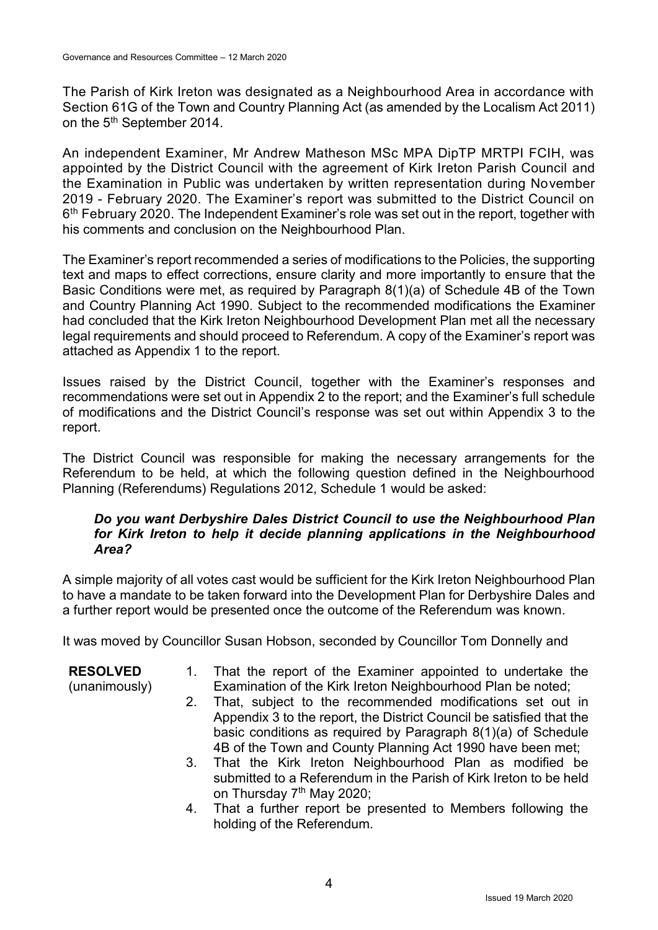The Parish of Kirk Ireton was designated as a Neighbourhood Area in accordance with Section 61G of the Town and Country Planning Act (as amended by the Localism Act 2011) on the 5<sup>th</sup> September 2014.

An independent Examiner, Mr Andrew Matheson MSc MPA DipTP MRTPI FCIH, was appointed by the District Council with the agreement of Kirk Ireton Parish Council and the Examination in Public was undertaken by written representation during November 2019 - February 2020. The Examiner's report was submitted to the District Council on 6<sup>th</sup> February 2020. The Independent Examiner's role was set out in the report, together with his comments and conclusion on the Neighbourhood Plan.

The Examiner's report recommended a series of modifications to the Policies, the supporting text and maps to effect corrections, ensure clarity and more importantly to ensure that the Basic Conditions were met, as required by Paragraph 8(1)(a) of Schedule 4B of the Town and Country Planning Act 1990. Subject to the recommended modifications the Examiner had concluded that the Kirk Ireton Neighbourhood Development Plan met all the necessary legal requirements and should proceed to Referendum. A copy of the Examiner's report was attached as Appendix 1 to the report.

Issues raised by the District Council, together with the Examiner's responses and recommendations were set out in Appendix 2 to the report; and the Examiner's full schedule of modifications and the District Council's response was set out within Appendix 3 to the report.

The District Council was responsible for making the necessary arrangements for the Referendum to be held, at which the following question defined in the Neighbourhood Planning (Referendums) Regulations 2012, Schedule 1 would be asked:

## *Do you want Derbyshire Dales District Council to use the Neighbourhood Plan for Kirk Ireton to help it decide planning applications in the Neighbourhood Area?*

A simple majority of all votes cast would be sufficient for the Kirk Ireton Neighbourhood Plan to have a mandate to be taken forward into the Development Plan for Derbyshire Dales and a further report would be presented once the outcome of the Referendum was known.

It was moved by Councillor Susan Hobson, seconded by Councillor Tom Donnelly and

- (unanimously)
- 1. That the report of the Examiner appointed to undertake the Examination of the Kirk Ireton Neighbourhood Plan be noted;
- 2. That, subject to the recommended modifications set out in Appendix 3 to the report, the District Council be satisfied that the basic conditions as required by Paragraph 8(1)(a) of Schedule 4B of the Town and County Planning Act 1990 have been met;
- 3. That the Kirk Ireton Neighbourhood Plan as modified be submitted to a Referendum in the Parish of Kirk Ireton to be held on Thursday 7<sup>th</sup> May 2020;
- 4. That a further report be presented to Members following the holding of the Referendum.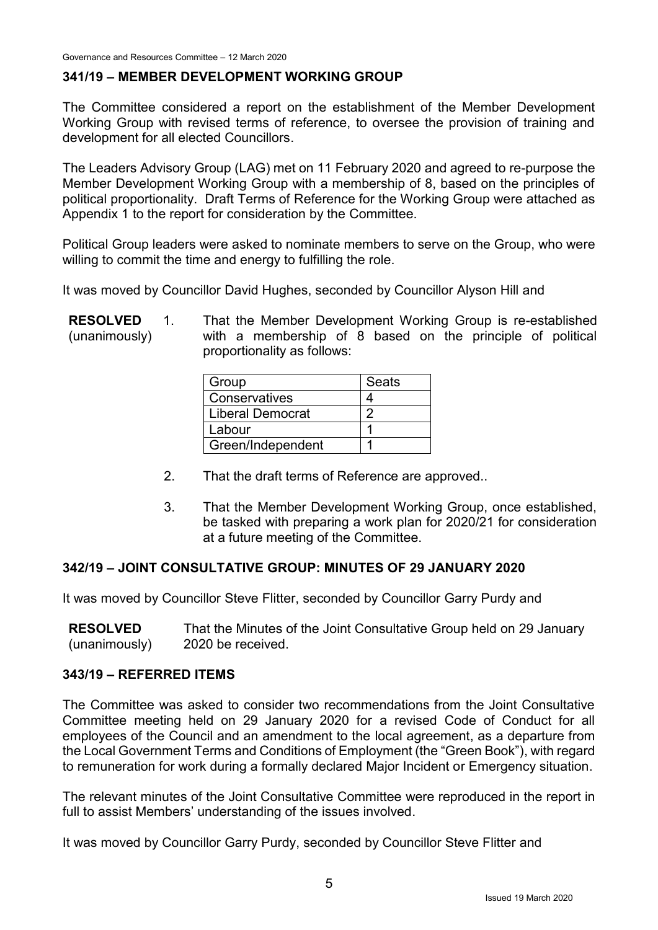## **341/19 – MEMBER DEVELOPMENT WORKING GROUP**

The Committee considered a report on the establishment of the Member Development Working Group with revised terms of reference, to oversee the provision of training and development for all elected Councillors.

The Leaders Advisory Group (LAG) met on 11 February 2020 and agreed to re-purpose the Member Development Working Group with a membership of 8, based on the principles of political proportionality. Draft Terms of Reference for the Working Group were attached as Appendix 1 to the report for consideration by the Committee.

Political Group leaders were asked to nominate members to serve on the Group, who were willing to commit the time and energy to fulfilling the role.

It was moved by Councillor David Hughes, seconded by Councillor Alyson Hill and

**RESOLVED** (unanimously) 1. That the Member Development Working Group is re-established with a membership of 8 based on the principle of political proportionality as follows:

| Group             | Seats |
|-------------------|-------|
| Conservatives     |       |
| Liberal Democrat  | n     |
| Labour            |       |
| Green/Independent |       |

- 2. That the draft terms of Reference are approved..
- 3. That the Member Development Working Group, once established, be tasked with preparing a work plan for 2020/21 for consideration at a future meeting of the Committee.

## **342/19 – JOINT CONSULTATIVE GROUP: MINUTES OF 29 JANUARY 2020**

It was moved by Councillor Steve Flitter, seconded by Councillor Garry Purdy and

**RESOLVED** (unanimously) That the Minutes of the Joint Consultative Group held on 29 January 2020 be received.

#### **343/19 – REFERRED ITEMS**

The Committee was asked to consider two recommendations from the Joint Consultative Committee meeting held on 29 January 2020 for a revised Code of Conduct for all employees of the Council and an amendment to the local agreement, as a departure from the Local Government Terms and Conditions of Employment (the "Green Book"), with regard to remuneration for work during a formally declared Major Incident or Emergency situation.

The relevant minutes of the Joint Consultative Committee were reproduced in the report in full to assist Members' understanding of the issues involved.

It was moved by Councillor Garry Purdy, seconded by Councillor Steve Flitter and